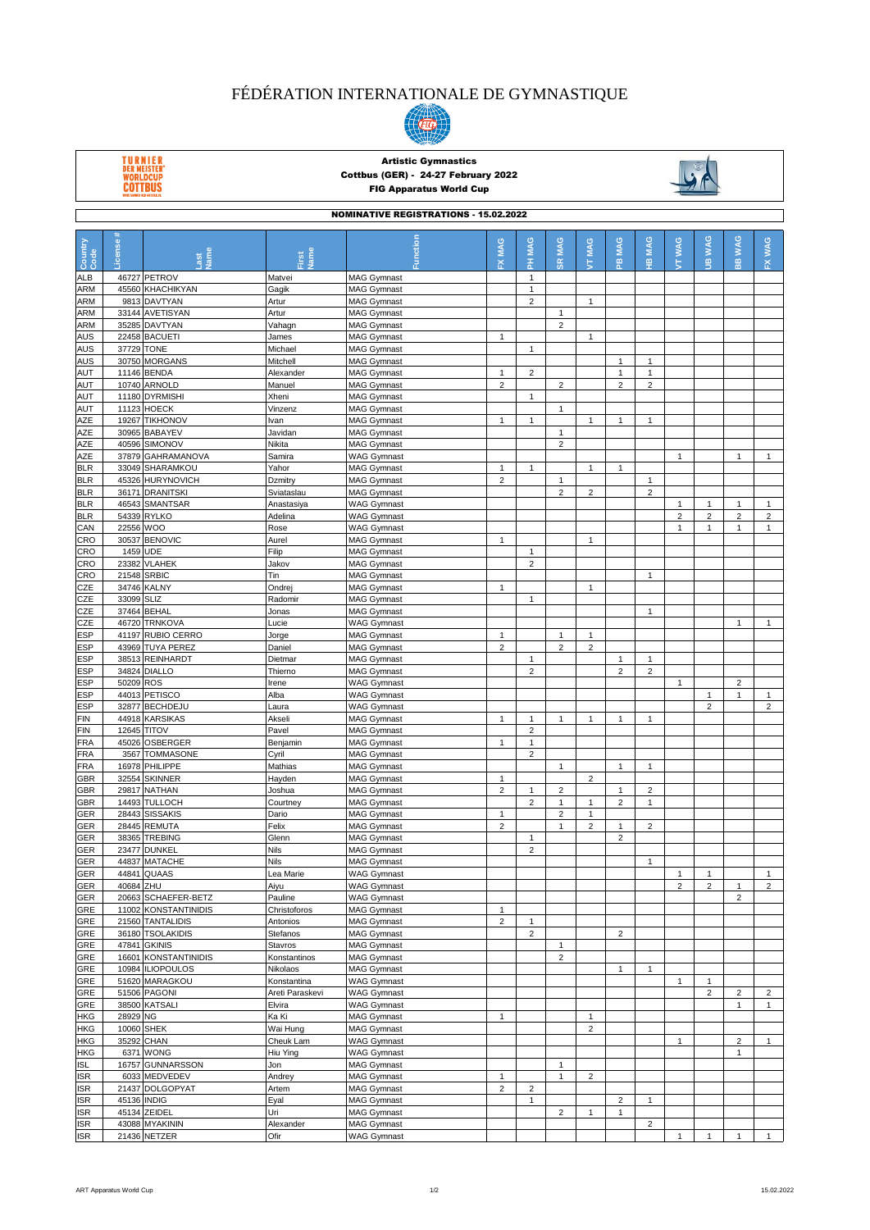## FÉDÉRATION INTERNATIONALE DE GYMNASTIQUE



TURNIER<br>DER MEISTER'<br>WORLDCUP<br>COTTBUS

## Artistic Gymnastics Cottbus (GER) - 24-27 February 2022 FIG Apparatus World Cup



| <b>NOMINATIVE REGISTRATIONS - 15.02.2022</b> |                    |                                             |                         |                                          |                                |                         |                                |                                         |                                |                 |                 |                  |                             |                         |
|----------------------------------------------|--------------------|---------------------------------------------|-------------------------|------------------------------------------|--------------------------------|-------------------------|--------------------------------|-----------------------------------------|--------------------------------|-----------------|-----------------|------------------|-----------------------------|-------------------------|
| Country<br>Code                              | icense#            |                                             | lame                    | Function                                 | MAG<br>ᆇ                       | PH MAG                  | <b>SR MAG</b>                  | <b>TT MAG</b>                           | <b>MAG</b><br>은                | <b>MAG</b><br>쁲 | <b>WAG</b><br>É | <b>WAG</b><br>ÄΞ | <b>WAG</b><br>$\frac{m}{m}$ | <b>WAG</b><br>ݣ         |
| <b>ALB</b>                                   |                    | 46727 PETROV                                | Matvei                  | <b>MAG Gymnast</b>                       |                                | $\mathbf{1}$            |                                |                                         |                                |                 |                 |                  |                             |                         |
| <b>ARM</b>                                   |                    | 45560 KHACHIKYAN                            | Gagik                   | <b>MAG Gymnast</b>                       |                                | $\mathbf{1}$            |                                |                                         |                                |                 |                 |                  |                             |                         |
| <b>ARM</b>                                   |                    | 9813 DAVTYAN                                | Artur                   | <b>MAG Gymnast</b>                       |                                | $\overline{2}$          |                                | $\mathbf{1}$                            |                                |                 |                 |                  |                             |                         |
| <b>ARM</b>                                   |                    | 33144 AVETISYAN                             | Artur                   | <b>MAG Gymnast</b>                       |                                |                         | $\mathbf{1}$                   |                                         |                                |                 |                 |                  |                             |                         |
| <b>ARM</b>                                   |                    | 35285 DAVTYAN                               | Vahagn                  | <b>MAG Gymnast</b>                       |                                |                         | $\overline{2}$                 |                                         |                                |                 |                 |                  |                             |                         |
| <b>AUS</b><br>AUS                            | 37729 TONE         | 22458 BACUETI                               | James<br>Michael        | <b>MAG Gymnast</b><br><b>MAG Gymnast</b> | $\mathbf{1}$                   | 1                       |                                | 1                                       |                                |                 |                 |                  |                             |                         |
| <b>AUS</b>                                   |                    | 30750 MORGANS                               | Mitchell                | <b>MAG Gymnast</b>                       |                                |                         |                                |                                         | 1                              | $\overline{1}$  |                 |                  |                             |                         |
| AUT                                          |                    | 11146 BENDA                                 | Alexander               | <b>MAG Gymnast</b>                       | $\mathbf{1}$                   | $\overline{2}$          |                                |                                         | $\mathbf{1}$                   | $\mathbf{1}$    |                 |                  |                             |                         |
| <b>AUT</b>                                   |                    | 10740 ARNOLD                                | Manuel                  | <b>MAG Gymnast</b>                       | $\overline{2}$                 |                         | $\overline{2}$                 |                                         | $\overline{2}$                 | $\overline{2}$  |                 |                  |                             |                         |
| AUT                                          |                    | 11180 DYRMISHI                              | Xheni                   | <b>MAG Gymnast</b>                       |                                | $\mathbf{1}$            |                                |                                         |                                |                 |                 |                  |                             |                         |
| <b>AUT</b>                                   |                    | 11123 HOECK                                 | Vinzenz                 | <b>MAG Gymnast</b>                       |                                |                         | $\mathbf{1}$                   |                                         |                                |                 |                 |                  |                             |                         |
| AZE                                          |                    | 19267 TIKHONOV                              | Ivan                    | <b>MAG Gymnast</b>                       | $\mathbf{1}$                   | $\mathbf{1}$            | $\mathbf{1}$                   | $\mathbf{1}$                            | $\mathbf{1}$                   | $\mathbf{1}$    |                 |                  |                             |                         |
| AZE<br>AZE                                   |                    | 30965 BABAYEV<br>40596 SIMONOV              | Javidan<br>Nikita       | <b>MAG Gymnast</b><br><b>MAG Gymnast</b> |                                |                         | $\overline{2}$                 |                                         |                                |                 |                 |                  |                             |                         |
| AZE                                          |                    | 37879 GAHRAMANOVA                           | Samira                  | <b>WAG Gymnast</b>                       |                                |                         |                                |                                         |                                |                 | $\overline{1}$  |                  | $\mathbf{1}$                | $\mathbf{1}$            |
| <b>BLR</b>                                   |                    | 33049 SHARAMKOU                             | Yahor                   | <b>MAG Gymnast</b>                       | $\mathbf{1}$                   | $\mathbf{1}$            |                                | $\mathbf{1}$                            | $\mathbf{1}$                   |                 |                 |                  |                             |                         |
| <b>BLR</b>                                   |                    | 45326 HURYNOVICH                            | Dzmitry                 | <b>MAG Gymnast</b>                       | $\overline{2}$                 |                         | $\mathbf{1}$                   |                                         |                                | 1               |                 |                  |                             |                         |
| <b>BLR</b>                                   |                    | 36171 DRANITSKI                             | Sviataslau              | <b>MAG Gymnast</b>                       |                                |                         | $\overline{2}$                 | $\overline{2}$                          |                                | $\overline{2}$  |                 |                  |                             |                         |
| <b>BLR</b>                                   |                    | 46543 SMANTSAR                              | Anastasiya              | <b>WAG Gymnast</b>                       |                                |                         |                                |                                         |                                |                 | $\overline{1}$  | $\mathbf{1}$     | $\mathbf{1}$                | $\mathbf{1}$            |
| <b>BLR</b>                                   |                    | 54339 RYLKO                                 | Adelina                 | <b>WAG Gymnast</b>                       |                                |                         |                                |                                         |                                |                 | $\overline{2}$  | $\overline{2}$   | $\overline{2}$              | $\overline{c}$          |
| CAN<br>CRO                                   | 22556 WOO          | 30537 BENOVIC                               | Rose<br>Aurel           | <b>WAG Gymnast</b><br><b>MAG Gymnast</b> | $\mathbf{1}$                   |                         |                                | $\mathbf{1}$                            |                                |                 | $\mathbf{1}$    | $\mathbf{1}$     | $\mathbf{1}$                | $\mathbf{1}$            |
| CRO                                          | 1459 UDE           |                                             | Filip                   | <b>MAG Gymnast</b>                       |                                | $\mathbf{1}$            |                                |                                         |                                |                 |                 |                  |                             |                         |
| CRO                                          |                    | 23382 VLAHEK                                | Jakov                   | <b>MAG Gymnast</b>                       |                                | $\overline{c}$          |                                |                                         |                                |                 |                 |                  |                             |                         |
| CRO                                          | 21548 SRBIC        |                                             | Tin                     | <b>MAG Gymnast</b>                       |                                |                         |                                |                                         |                                | $\mathbf{1}$    |                 |                  |                             |                         |
| CZE                                          |                    | 34746 KALNY                                 | Ondrej                  | <b>MAG Gymnast</b>                       | $\mathbf{1}$                   |                         |                                | $\mathbf{1}$                            |                                |                 |                 |                  |                             |                         |
| CZE                                          | 33099 SLIZ         |                                             | Radomir                 | <b>MAG Gymnast</b>                       |                                | $\mathbf{1}$            |                                |                                         |                                |                 |                 |                  |                             |                         |
| CZE                                          |                    | 37464 BEHAL                                 | Jonas                   | <b>MAG Gymnast</b>                       |                                |                         |                                |                                         |                                | $\mathbf{1}$    |                 |                  |                             |                         |
| CZE<br>ESP                                   |                    | 46720 TRNKOVA<br>41197 RUBIO CERRO          | Lucie<br>Jorge          | <b>WAG Gymnast</b><br><b>MAG Gymnast</b> | 1                              |                         | $\mathbf{1}$                   | 1                                       |                                |                 |                 |                  | $\mathbf{1}$                | $\mathbf{1}$            |
| <b>ESP</b>                                   |                    | 43969 TUYA PEREZ                            | Daniel                  | <b>MAG Gymnast</b>                       | $\overline{2}$                 |                         | $\overline{2}$                 | $\overline{2}$                          |                                |                 |                 |                  |                             |                         |
| <b>ESP</b>                                   |                    | 38513 REINHARDT                             | Dietmar                 | <b>MAG Gymnast</b>                       |                                | $\mathbf{1}$            |                                |                                         | 1                              | 1               |                 |                  |                             |                         |
| ESP                                          |                    | 34824 DIALLO                                | Thierno                 | <b>MAG Gymnast</b>                       |                                | $\overline{c}$          |                                |                                         | $\overline{2}$                 | $\overline{2}$  |                 |                  |                             |                         |
| <b>ESP</b>                                   | 50209 ROS          |                                             | Irene                   | <b>WAG Gymnast</b>                       |                                |                         |                                |                                         |                                |                 | $\mathbf{1}$    |                  | $\overline{2}$              |                         |
| <b>ESP</b>                                   |                    | 44013 PETISCO                               | Alba                    | <b>WAG Gymnast</b>                       |                                |                         |                                |                                         |                                |                 |                 | 1                | $\mathbf{1}$                | $\mathbf{1}$            |
| <b>ESP</b>                                   |                    | 32877 BECHDEJU                              | Laura                   | <b>WAG Gymnast</b>                       | $\mathbf{1}$                   | $\mathbf{1}$            | $\mathbf{1}$                   |                                         |                                |                 |                 | $\overline{c}$   |                             | $\overline{\mathbf{c}}$ |
| <b>FIN</b><br><b>FIN</b>                     | <b>12645 TITOV</b> | 44918 KARSIKAS                              | Akseli<br>Pavel         | <b>MAG Gymnast</b><br><b>MAG Gymnast</b> |                                | $\sqrt{2}$              |                                | $\mathbf{1}$                            | $\mathbf{1}$                   | $\mathbf{1}$    |                 |                  |                             |                         |
| <b>FRA</b>                                   |                    | 45026 OSBERGER                              | Benjamin                | <b>MAG Gymnast</b>                       | $\mathbf{1}$                   | $\mathbf{1}$            |                                |                                         |                                |                 |                 |                  |                             |                         |
| <b>FRA</b>                                   |                    | 3567 TOMMASONE                              | Cyril                   | <b>MAG Gymnast</b>                       |                                | $\overline{c}$          |                                |                                         |                                |                 |                 |                  |                             |                         |
| <b>FRA</b>                                   |                    | 16978 PHILIPPE                              | Mathias                 | <b>MAG Gymnast</b>                       |                                |                         | $\mathbf{1}$                   |                                         | 1                              | $\mathbf{1}$    |                 |                  |                             |                         |
| GBR                                          |                    | 32554 SKINNER                               | Hayden                  | <b>MAG Gymnast</b>                       | $\mathbf{1}$                   |                         |                                | $\overline{2}$                          |                                |                 |                 |                  |                             |                         |
| GBR                                          |                    | 29817 NATHAN                                | Joshua                  | <b>MAG Gymnast</b>                       | $\overline{2}$                 | $\mathbf{1}$            | $\overline{2}$                 |                                         | $\mathbf{1}$                   | $\overline{2}$  |                 |                  |                             |                         |
| GBR                                          | 14493              | <b>TULLOCH</b>                              | Courtney                | <b>MAG Gymnast</b>                       |                                | $\overline{c}$          | $\mathbf{1}$<br>$\overline{2}$ | $\mathbf{1}$                            | $\overline{c}$                 | $\mathbf{1}$    |                 |                  |                             |                         |
| GER<br>GER                                   |                    | 28443 SISSAKIS<br>28445 REMUTA              | Dario<br>Felix          | <b>MAG Gymnast</b><br><b>MAG Gymnast</b> | $\mathbf{1}$<br>$\overline{2}$ |                         | $\mathbf{1}$                   | $\mathbf{1}$<br>$\overline{\mathbf{c}}$ | 1                              | $\mathbf 2$     |                 |                  |                             |                         |
| GER                                          |                    | 38365 TREBING                               | Glenn                   | <b>MAG Gymnast</b>                       |                                | $\mathbf{1}$            |                                |                                         | $\overline{c}$                 |                 |                 |                  |                             |                         |
| GER                                          |                    | 23477 DUNKEL                                | Nils                    | <b>MAG Gymnast</b>                       |                                | $\overline{\mathbf{c}}$ |                                |                                         |                                |                 |                 |                  |                             |                         |
| GER                                          |                    | 44837 MATACHE                               | <b>Nils</b>             | <b>MAG Gymnast</b>                       |                                |                         |                                |                                         |                                | 1               |                 |                  |                             |                         |
| GER                                          |                    | 44841 QUAAS                                 | Lea Marie               | <b>WAG Gymnast</b>                       |                                |                         |                                |                                         |                                |                 | $\mathbf{1}$    | $\mathbf{1}$     |                             | $\mathbf{1}$            |
| GER                                          | 40684 ZHU          |                                             | Aiyu                    | <b>WAG Gymnast</b>                       |                                |                         |                                |                                         |                                |                 | $\overline{2}$  | $\overline{c}$   | $\mathbf{1}$                | $\overline{2}$          |
| GER                                          |                    | 20663 SCHAEFER-BETZ<br>11002 KONSTANTINIDIS | Pauline<br>Christoforos | <b>WAG Gymnast</b>                       | $\mathbf{1}$                   |                         |                                |                                         |                                |                 |                 |                  | $\overline{c}$              |                         |
| GRE<br>GRE                                   |                    | 21560 TANTALIDIS                            | Antonios                | <b>MAG Gymnast</b><br><b>MAG Gymnast</b> | $\overline{\mathbf{c}}$        | $\mathbf{1}$            |                                |                                         |                                |                 |                 |                  |                             |                         |
| GRE                                          |                    | 36180 TSOLAKIDIS                            | Stefanos                | <b>MAG Gymnast</b>                       |                                | $\overline{c}$          |                                |                                         | $\overline{c}$                 |                 |                 |                  |                             |                         |
| GRE                                          |                    | 47841 GKINIS                                | Stavros                 | <b>MAG Gymnast</b>                       |                                |                         | $\mathbf{1}$                   |                                         |                                |                 |                 |                  |                             |                         |
| GRE                                          |                    | 16601 KONSTANTINIDIS                        | Konstantinos            | <b>MAG Gymnast</b>                       |                                |                         | $\overline{2}$                 |                                         |                                |                 |                 |                  |                             |                         |
| GRE                                          |                    | 10984 ILIOPOULOS                            | Nikolaos                | <b>MAG Gymnast</b>                       |                                |                         |                                |                                         | $\mathbf{1}$                   | $\mathbf{1}$    |                 |                  |                             |                         |
| GRE                                          |                    | 51620 MARAGKOU                              | Konstantina             | <b>WAG Gymnast</b>                       |                                |                         |                                |                                         |                                |                 | $\mathbf{1}$    | $\mathbf{1}$     |                             |                         |
| GRE                                          |                    | 51506 PAGONI                                | Areti Paraskevi         | <b>WAG Gymnast</b>                       |                                |                         |                                |                                         |                                |                 |                 | $\overline{c}$   | $\overline{c}$              | $\overline{2}$          |
| GRE<br><b>HKG</b>                            | 28929 NG           | 38500 KATSALI                               | Elvira<br>Ka Ki         | <b>WAG Gymnast</b><br><b>MAG Gymnast</b> | $\mathbf{1}$                   |                         |                                | $\mathbf{1}$                            |                                |                 |                 |                  | $\mathbf{1}$                | $\mathbf{1}$            |
| <b>HKG</b>                                   | 10060 SHEK         |                                             | Wai Hung                | <b>MAG Gymnast</b>                       |                                |                         |                                | $\overline{2}$                          |                                |                 |                 |                  |                             |                         |
| HKG                                          | 35292 CHAN         |                                             | Cheuk Lam               | <b>WAG Gymnast</b>                       |                                |                         |                                |                                         |                                |                 | $\overline{1}$  |                  | $\overline{\mathbf{c}}$     | $\mathbf{1}$            |
| <b>HKG</b>                                   |                    | 6371 WONG                                   | Hiu Ying                | <b>WAG Gymnast</b>                       |                                |                         |                                |                                         |                                |                 |                 |                  | $\mathbf{1}$                |                         |
| <b>ISL</b>                                   |                    | 16757 GUNNARSSON                            | Jon                     | <b>MAG Gymnast</b>                       |                                |                         | $\mathbf{1}$                   |                                         |                                |                 |                 |                  |                             |                         |
| <b>ISR</b>                                   |                    | 6033 MEDVEDEV                               | Andrey                  | <b>MAG Gymnast</b>                       | $\mathbf{1}$                   |                         | $\mathbf{1}$                   | $\overline{2}$                          |                                |                 |                 |                  |                             |                         |
| <b>ISR</b>                                   |                    | 21437 DOLGOPYAT                             | Artem                   | <b>MAG Gymnast</b>                       | $\overline{\mathbf{c}}$        | $\overline{\mathbf{c}}$ |                                |                                         |                                |                 |                 |                  |                             |                         |
| <b>ISR</b>                                   | 45136 INDIG        | 45134 ZEIDEL                                | Eyal<br>Uri             | <b>MAG Gymnast</b>                       |                                | $\mathbf{1}$            | $\overline{c}$                 |                                         | $\overline{c}$<br>$\mathbf{1}$ | $\mathbf{1}$    |                 |                  |                             |                         |
| <b>ISR</b><br><b>ISR</b>                     |                    | 43088 MYAKININ                              | Alexander               | <b>MAG Gymnast</b><br><b>MAG Gymnast</b> |                                |                         |                                | $\mathbf{1}$                            |                                | $\mathbf 2$     |                 |                  |                             |                         |
| <b>ISR</b>                                   |                    | 21436 NETZER                                | Ofir                    | <b>WAG Gymnast</b>                       |                                |                         |                                |                                         |                                |                 | $\overline{1}$  | $\mathbf{1}$     |                             |                         |